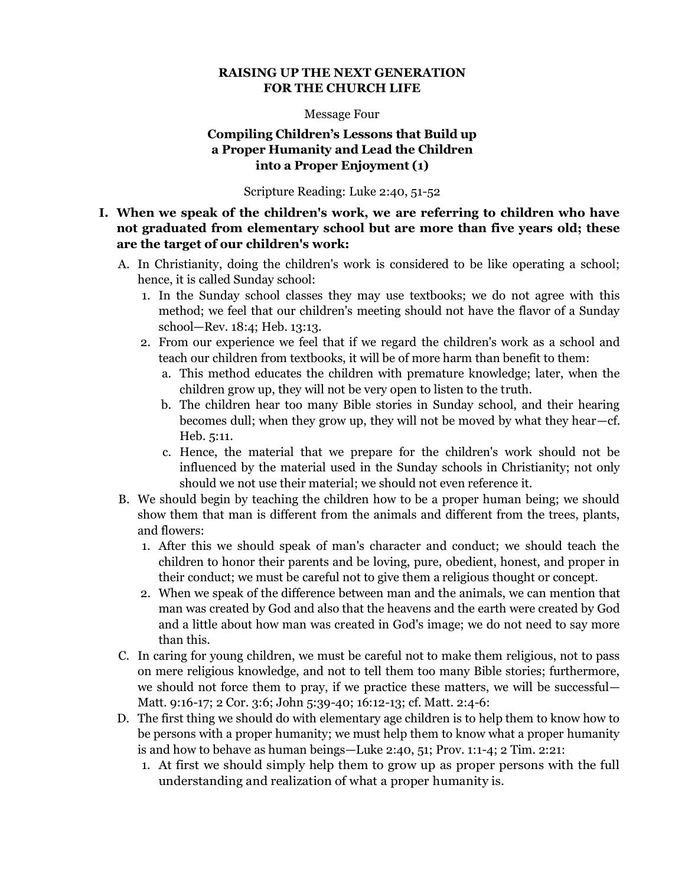### **RAISING UP THE NEXT GENERATION FOR THE CHURCH LIFE**

#### Message Four

## **Compiling Children's Lessons that Build up a Proper Humanity and Lead the Children into a Proper Enjoyment (1)**

Scripture Reading: Luke 2:40, 51-52

# **I. When we speak of the children's work, we are referring to children who have not graduated from elementary school but are more than five years old; these are the target of our children's work:**

- A. In Christianity, doing the children's work is considered to be like operating a school; hence, it is called Sunday school:
	- 1. In the Sunday school classes they may use textbooks; we do not agree with this method; we feel that our children's meeting should not have the flavor of a Sunday school—Rev. 18:4; Heb. 13:13.
	- 2. From our experience we feel that if we regard the children's work as a school and teach our children from textbooks, it will be of more harm than benefit to them:
		- a. This method educates the children with premature knowledge; later, when the children grow up, they will not be very open to listen to the truth.
		- b. The children hear too many Bible stories in Sunday school, and their hearing becomes dull; when they grow up, they will not be moved by what they hear—cf. Heb. 5:11.
		- c. Hence, the material that we prepare for the children's work should not be influenced by the material used in the Sunday schools in Christianity; not only should we not use their material; we should not even reference it.
- B. We should begin by teaching the children how to be a proper human being; we should show them that man is different from the animals and different from the trees, plants, and flowers:
	- 1. After this we should speak of man's character and conduct; we should teach the children to honor their parents and be loving, pure, obedient, honest, and proper in their conduct; we must be careful not to give them a religious thought or concept.
	- 2. When we speak of the difference between man and the animals, we can mention that man was created by God and also that the heavens and the earth were created by God and a little about how man was created in God's image; we do not need to say more than this.
- C. In caring for young children, we must be careful not to make them religious, not to pass on mere religious knowledge, and not to tell them too many Bible stories; furthermore, we should not force them to pray, if we practice these matters, we will be successful— Matt. 9:16-17; 2 Cor. 3:6; John 5:39-40; 16:12-13; cf. Matt. 2:4-6:
- D. The first thing we should do with elementary age children is to help them to know how to be persons with a proper humanity; we must help them to know what a proper humanity is and how to behave as human beings—Luke 2:40, 51; Prov. 1:1-4; 2 Tim. 2:21:
	- 1. At first we should simply help them to grow up as proper persons with the full understanding and realization of what a proper humanity is.